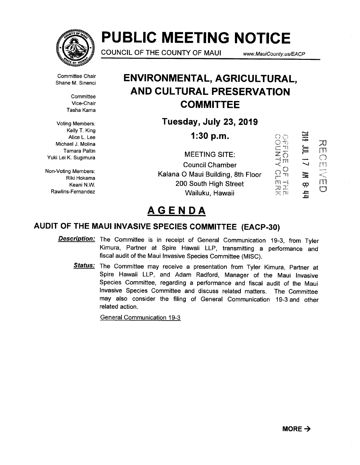

# PUBLIC MEETING NOTICE

COUNCIL OF THE COUNTY OF MAUI

www.MauiCounty. us/EACP

Committee Chair Shane M. Sinenci

> **Committee** Vice-Chair Tasha Kama

Voting Members: Kelly T. King Alice L Lee Michael J. Molina Tamara Paltin

Riki Hokama Keani N.W. Rawlins-Fernandez

## ENVIRONMENTAL, AGRICULTURAL, AND CULTURAL PRESERVATION **COMMITTEE**

Tuesday, July 23, 2019

1:30 p.m.

Yuki Lei K. Sugimura —~ ~ MEETING SITE: Non-Voting Members:<br>  $\overbrace{C}$  C) Nalana O Maui Building, 8th Floor  $\overbrace{C}$ Council Chamber 200 South High Street Wailuku, Hawaii

**SEC** 刀市  $\equiv$ On Ind  $\equiv$ a,  $\frac{1}{2}$ 

## AGENDA

## AUDIT OF THE MAUI INVASIVE SPECIES COMMITTEE (EACP-30)

- Description: The Committee is in receipt of General Communication 19-3, from Tyler Kimura, Partner at Spire Hawaii LLP, transmitting a performance and fiscal audit of the Maui Invasive Species Committee (MISC).
	- Status: The Committee may receive a presentation from Tyler Kimura, Partner at Spire Hawaii LLP, and Adam Radford, Manager of the Maui Invasive Species Committee, regarding a performance and fiscal audit of the Maui Invasive Species Committee and discuss related matters. The Committee may also consider the filing of General Communication 19-3 and other related action.

General Communication 19-3